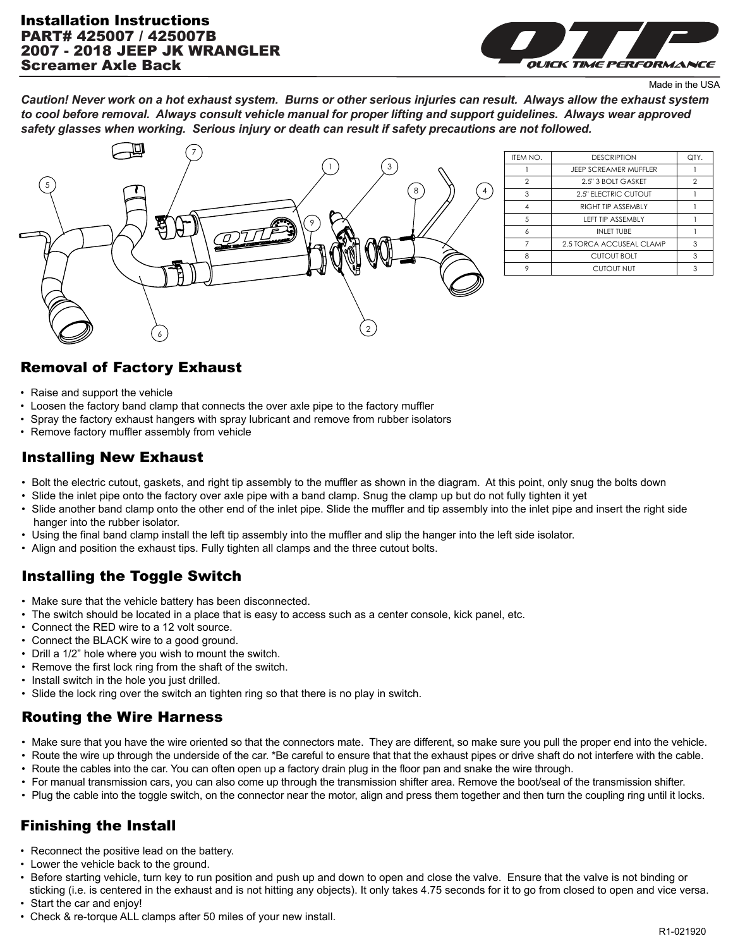### PART# 425007 / 425007B 2007 - 2018 JEEP JK WRANGLER Screamer Axle Back Installation Instructions



Made in the USA

*Caution! Never work on a hot exhaust system. Burns or other serious injuries can result. Always allow the exhaust system to cool before removal. Always consult vehicle manual for proper lifting and support guidelines. Always wear approved safety glasses when working. Serious injury or death can result if safety precautions are not followed.*



| ITEM NO.       | <b>DESCRIPTION</b>           | QTY.           |
|----------------|------------------------------|----------------|
|                | <b>JFFP SCREAMER MUFFLER</b> |                |
| $\mathfrak{p}$ | 2.5" 3 BOLT GASKET           | $\mathfrak{D}$ |
| 3              | <b>2.5" ELECTRIC CUTOUT</b>  |                |
| 4              | RIGHT TIP ASSEMBLY           |                |
| .5             | <b>I FFT TIP ASSEMBLY</b>    |                |
| 6              | INI FT TUBF                  |                |
|                | 2.5 TORCA ACCUSEAL CLAMP     | 3              |
| 8              | <b>CUTOUT BOLT</b>           | 3              |
| 9              | <b>CUTOUT NUT</b>            | 3              |

### Removal of Factory Exhaust

- Raise and support the vehicle
- Loosen the factory band clamp that connects the over axle pipe to the factory muffler
- Spray the factory exhaust hangers with spray lubricant and remove from rubber isolators
- Remove factory muffler assembly from vehicle

### Installing New Exhaust

- Bolt the electric cutout, gaskets, and right tip assembly to the muffler as shown in the diagram. At this point, only snug the bolts down
- Slide the inlet pipe onto the factory over axle pipe with a band clamp. Snug the clamp up but do not fully tighten it yet
- Slide another band clamp onto the other end of the inlet pipe. Slide the muffler and tip assembly into the inlet pipe and insert the right side hanger into the rubber isolator.
- Using the final band clamp install the left tip assembly into the muffler and slip the hanger into the left side isolator.
- Align and position the exhaust tips. Fully tighten all clamps and the three cutout bolts.

# Installing the Toggle Switch

- Make sure that the vehicle battery has been disconnected.
- The switch should be located in a place that is easy to access such as a center console, kick panel, etc.
- Connect the RED wire to a 12 volt source.
- Connect the BLACK wire to a good ground.
- Drill a 1/2" hole where you wish to mount the switch.
- Remove the first lock ring from the shaft of the switch.
- Install switch in the hole you just drilled.
- Slide the lock ring over the switch an tighten ring so that there is no play in switch.

### Routing the Wire Harness

- Make sure that you have the wire oriented so that the connectors mate. They are different, so make sure you pull the proper end into the vehicle.
- Route the wire up through the underside of the car. \*Be careful to ensure that that the exhaust pipes or drive shaft do not interfere with the cable.
- Route the cables into the car. You can often open up a factory drain plug in the floor pan and snake the wire through.
- For manual transmission cars, you can also come up through the transmission shifter area. Remove the boot/seal of the transmission shifter.
- Plug the cable into the toggle switch, on the connector near the motor, align and press them together and then turn the coupling ring until it locks.

## Finishing the Install

- Reconnect the positive lead on the battery.
- Lower the vehicle back to the ground.
- Before starting vehicle, turn key to run position and push up and down to open and close the valve. Ensure that the valve is not binding or sticking (i.e. is centered in the exhaust and is not hitting any objects). It only takes 4.75 seconds for it to go from closed to open and vice versa.
- Start the car and enjoy!
- Check & re-torque ALL clamps after 50 miles of your new install.